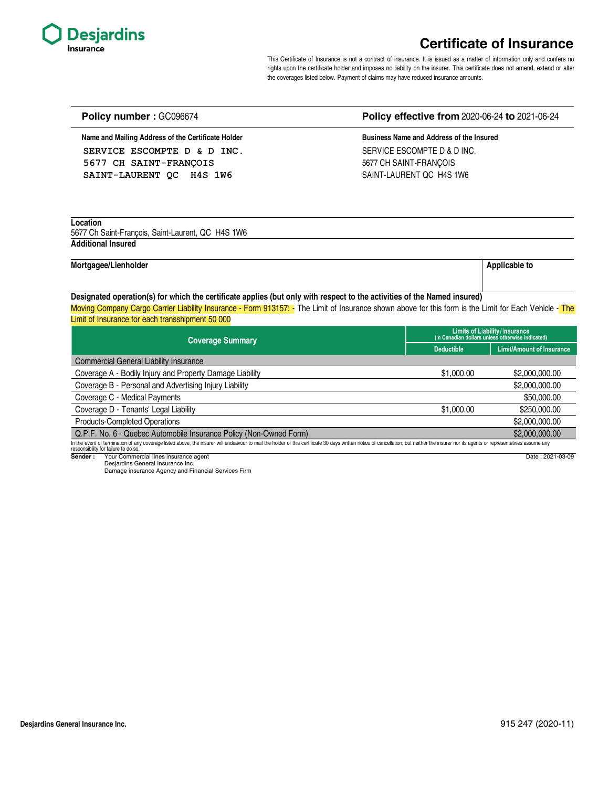

## **Certificate of Insurance**

This Certificate of Insurance is not a contract of insurance. It is issued as a matter of information only and confers no rights upon the certificate holder and imposes no liability on the insurer. This certificate does not amend, extend or alter the coverages listed below. Payment of claims may have reduced insurance amounts.

| Name and Mailing Address of the Certificate Holder                                                                                                                                                                                                                                                                                     | Business Name and Address of the Insured |                                                                                   |  |
|----------------------------------------------------------------------------------------------------------------------------------------------------------------------------------------------------------------------------------------------------------------------------------------------------------------------------------------|------------------------------------------|-----------------------------------------------------------------------------------|--|
| SERVICE ESCOMPTE D & D INC.                                                                                                                                                                                                                                                                                                            | SERVICE ESCOMPTE D & D INC.              |                                                                                   |  |
| 5677 CH SAINT-FRANCOIS                                                                                                                                                                                                                                                                                                                 | 5677 CH SAINT-FRANÇOIS                   |                                                                                   |  |
| SAINT-LAURENT OC H4S 1W6                                                                                                                                                                                                                                                                                                               | SAINT-LAURENT OC H4S 1W6                 |                                                                                   |  |
| Location                                                                                                                                                                                                                                                                                                                               |                                          |                                                                                   |  |
| 5677 Ch Saint-François, Saint-Laurent, QC H4S 1W6                                                                                                                                                                                                                                                                                      |                                          |                                                                                   |  |
| <b>Additional Insured</b>                                                                                                                                                                                                                                                                                                              |                                          |                                                                                   |  |
| Mortgagee/Lienholder                                                                                                                                                                                                                                                                                                                   |                                          | <b>Applicable to</b>                                                              |  |
| Designated operation(s) for which the certificate applies (but only with respect to the activities of the Named insured)<br>Moving Company Cargo Carrier Liability Insurance - Form 913157: - The Limit of Insurance shown above for this form is the Limit for Each Vehicle - The<br>Limit of Insurance for each transshipment 50 000 |                                          |                                                                                   |  |
| <b>Coverage Summary</b>                                                                                                                                                                                                                                                                                                                |                                          | Limits of Liability/Insurance<br>(in Canadian dollars unless otherwise indicated) |  |
|                                                                                                                                                                                                                                                                                                                                        | <b>Deductible</b>                        | <b>Limit/Amount of Insurance</b>                                                  |  |
| <b>Commercial General Liability Insurance</b>                                                                                                                                                                                                                                                                                          |                                          |                                                                                   |  |
| Coverage A - Bodily Injury and Property Damage Liability                                                                                                                                                                                                                                                                               | \$1,000.00                               | \$2,000,000.00                                                                    |  |
| Coverage B - Personal and Advertising Injury Liability                                                                                                                                                                                                                                                                                 |                                          | \$2,000,000.00                                                                    |  |
| Coverage C - Medical Payments                                                                                                                                                                                                                                                                                                          |                                          | \$50,000.00                                                                       |  |
| Coverage D - Tenants' Legal Liability                                                                                                                                                                                                                                                                                                  | \$1,000.00                               | \$250,000.00                                                                      |  |
| <b>Products-Completed Operations</b>                                                                                                                                                                                                                                                                                                   |                                          |                                                                                   |  |
|                                                                                                                                                                                                                                                                                                                                        |                                          | \$2,000,000.00                                                                    |  |

**Policy number :** GC096674 **Policy effective from** 2020-06-24 **to** 2021-06-24

In the event of termination of any coverage listed above, the insurer will endeavour to mail the holder of this certificate 30 days written notice of cancellation, but neither the insurer nor its agents or representatives

**Sender :** Your Commercial lines insurance agent

Desjardins General Insurance Inc. Damage insurance Agency and Financial Services Firm

Date : 2021-03-09